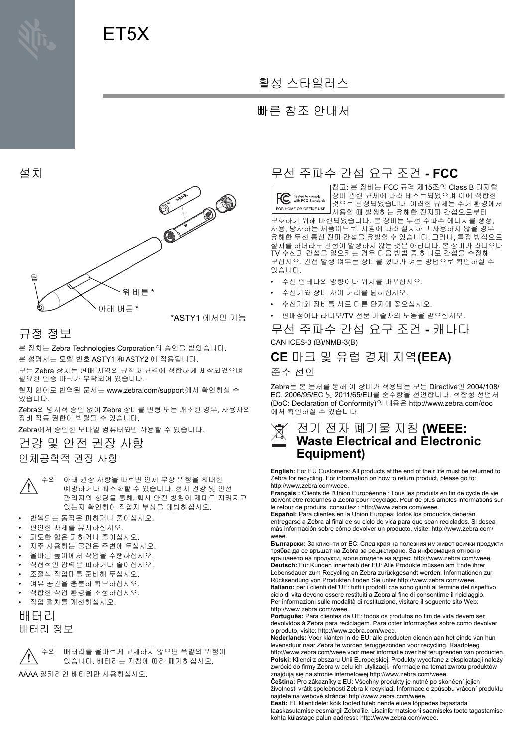# ET5X

### 활성 스타일러스

#### 빠른 참조 안내서

설치



# 규정 정보

본 장치는 Zebra Technologies Corporation의 승인을 받았습니다. 본 설명서는 모델 번호 ASTY1 和 ASTY2 에 적용됩니다.

모든 Zebra 장치는 판매 지역의 규칙과 규격에 적합하게 제작되었으며 필요한 인증 마크가 부착되어 있습니다.

현지 언어로 번역된 문서는 www.zebra.com/support에서 확인하실 수 있습니다.

Zebra의 명시적 승인 없이 Zebra 장비를 변형 또는 개조한 경우, 사용자의 장비 작동 권한이 박탈될 수 있습니다.

Zebra에서 승인한 모바일 컴퓨터와만 사용할 수 있습니다.

# 건강 및 안전 권장 사항

인체공학적 권장 사항

주의 아래 권장 사항을 따르면 인체 부상 위험을 최대한 예방하거나 최소화할 수 있습니다. 현지 건강 및 안전 관리자와 상담을 통해, 회사 안전 방침이 제대로 지켜지고 있는지 확인하여 작업자 부상을 예방하십시오.

- 반복되는 동작은 피하거나 줄이십시오.
- 편안한 자세를 유지하십시오.
- 과도한 힘은 피하거나 줄이십시오.
- 자주 사용하는 물건은 주변에 두십시오.
- 올바른 높이에서 작업을 수행하십시오.
- 직접적인 압력은 피하거나 줄이십시오.
- 조절식 작업대를 준비해 두십시오.
- 여유 공간을 충분히 확보하십시오.
- 적합한 작업 환경을 조성하십시오.
- 작업 절차를 개선하십시오.

### 배터리 배터리 정보



주의 배터리를 올바르게 교체하지 않으면 폭발의 위험이 있습니다. 배터리는 지침에 따라 폐기하십시오.

AAAA 알카라인 배터리만 사용하십시오.

#### ⱨ㉔ 㨰䑀㍌ ᴸ㉡ 㟈Ạ 㦤ᶨ **- FCC**

참고: 본 장비는 FCC 규격 제15조의 Class B 디지털 Tested to comply<br>with FCC Standards 장비 관련 규제에 따라 테스트되었으며 이에 적합한 것으로 판정되었습니다. 이러한 규제는 주거 환경에서 FOR HOME OR OFFICE USE 사용할 때 발생하는 유해한 전자파 간섭으로부터 보호하기 위해 마련되었습니다. 본 장비는 무선 주파수 에너지를 생성, 사용, 방사하는 제품이므로, 지침에 따라 설치하고 사용하지 않을 경우 유해한 무선 통신 전파 간섭을 유발할 수 있습니다. 그러나, 특정 방식으로 설치를 하더라도 간섭이 발생하지 않는 것은 아닙니다. 본 장비가 라디오나 TV 수신과 간섭을 일으키는 경우 다음 방법 중 하나로 간섭을 수정해 보십시오. 간섭 발생 여부는 장비를 껐다가 켜는 방법으로 확인하실 수 있습니다.

- 수신 안테나의 방향이나 위치를 바꾸십시오.
- 수신기와 장비 사이 거리를 넓히십시오.
- 수신기와 장비를 서로 다른 단자에 꽂으십시오.
- 판매점이나 라디오/TV 전문 기술자의 도움을 받으십시오.

무선 주파수 간섭 요구 조건 **-** 캐나다 CAN ICES-3 (B)/NMB-3(B)

#### **CE** ⫼䆠 ⵃ 㡔⤱ ᷱ㥐 㫴㜡**(EEA)** 준수 선언

Zebra⏈ ⸬ ⱬ㉐⪰ 䋩䚨 㢨 㣙⽸ᴴ 㤵㟝╌⏈ ⯜☔ Directive㢬 2004/108/ EC, 2006/95/EC 및 2011/65/EU를 준수함을 선언합니다. 적합성 선언서 (DoC: Declaration of Conformity)의 내용은 http://www.zebra.com/doc 예서 확인하실 수 있습니다.

#### 㤸ὤ 㤸㣄 䔄ὤⱰ 㫴㾜 **(WEEE: Waste Electrical and Electronic Equipment)**

English: For EU Customers: All products at the end of their life must be returned to Zebra for recycling. For information on how to return product, please go to: http://www.zebra.com/weee.

**Français :** Clients de l'Union Européenne : Tous les produits en fin de cycle de vie doivent être retournés à Zebra pour recyclage. Pour de plus amples informations sur le retour de produits, consultez : http://www.zebra.com/weee.

Español: Para clientes en la Unión Europea: todos los productos deberán entregarse a Zebra al final de su ciclo de vida para que sean reciclados. Si desea más información sobre cómo devolver un producto, visite: http://www.zebra.com/ weee.

**Български:** За клиенти от ЕС: След края на полезния им живот всички продукти трябва да се връщат на Zebra за рециклиране. За информация относно връщането на продукти, моля отидете на адрес: http://www.zebra.com/weee.

Deutsch: Für Kunden innerhalb der EU: Alle Produkte müssen am Ende ihrer Lebensdauer zum Recycling an Zebra zurückgesandt werden. Informationen zur Rücksendung von Produkten finden Sie unter http://www.zebra.com/weee. **Italiano:** per i clienti dell'UE: tutti i prodotti che sono giunti al termine del rispettivo ciclo di vita devono essere restituiti a Zebra al fine di consentirne il riciclaggio. Per informazioni sulle modalità di restituzione, visitare il seguente sito Web: http://www.zebra.com/weee

Português: Para clientes da UE: todos os produtos no fim de vida devem ser devolvidos à Zebra para reciclagem. Para obter informações sobre como devolver o produto, visite: http://www.zebra.com/weee.

**Nederlands:** Voor klanten in de EU; alle producten dienen aan het einde van hun levensduur naar Zebra te worden teruggezonden voor recycling. Raadpleeg http://www.zebra.com/weee voor meer informatie over het terugzenden van producten. Polski: Klienci z obszaru Unii Europejskiej: Produkty wycofane z eksploatacji należy zwrócić do firmy Zebra w celu ich utylizacji. Informacje na temat zwrotu produktów znajdują się na stronie internetowej http://www.zebra.com/weee.

Čeština: Pro zákazníky z EU: Všechny produkty je nutné po skonèení jejich životnosti vrátit spoleènosti Zebra k recyklaci. Informace o zpùsobu vrácení produktu najdete na webové stránce: http://www.zebra.com/weee.

Eesti: EL klientidele: kõik tooted tuleb nende eluea lõppedes tagastada taaskasutamise eesmärgil Zebra'ile. Lisainformatsiooni saamiseks toote tagastamise kohta külastage palun aadressi: http://www.zebra.com/weee.